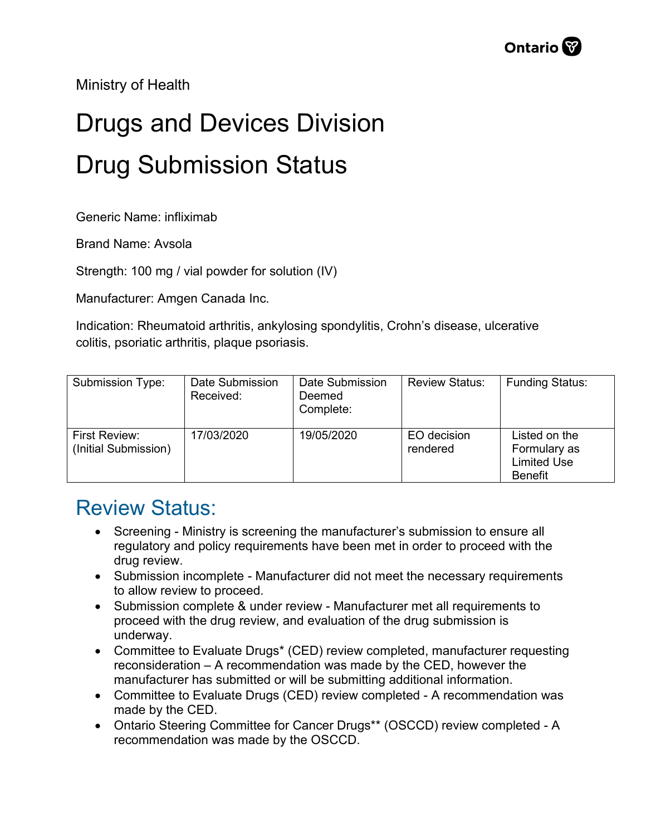Ministry of Health

## Drugs and Devices Division Drug Submission Status

Generic Name: infliximab

Brand Name: Avsola

Strength: 100 mg / vial powder for solution (IV)

Manufacturer: Amgen Canada Inc.

Indication: Rheumatoid arthritis, ankylosing spondylitis, Crohn's disease, ulcerative colitis, psoriatic arthritis, plaque psoriasis.

| Submission Type:                      | Date Submission<br>Received: | Date Submission<br>Deemed<br>Complete: | <b>Review Status:</b>   | <b>Funding Status:</b>                                                |
|---------------------------------------|------------------------------|----------------------------------------|-------------------------|-----------------------------------------------------------------------|
| First Review:<br>(Initial Submission) | 17/03/2020                   | 19/05/2020                             | EO decision<br>rendered | Listed on the<br>Formulary as<br><b>Limited Use</b><br><b>Benefit</b> |

## Review Status:

- Screening Ministry is screening the manufacturer's submission to ensure all regulatory and policy requirements have been met in order to proceed with the drug review.
- Submission incomplete Manufacturer did not meet the necessary requirements to allow review to proceed.
- Submission complete & under review Manufacturer met all requirements to proceed with the drug review, and evaluation of the drug submission is underway.
- Committee to Evaluate Drugs\* (CED) review completed, manufacturer requesting reconsideration – A recommendation was made by the CED, however the manufacturer has submitted or will be submitting additional information.
- Committee to Evaluate Drugs (CED) review completed A recommendation was made by the CED.
- Ontario Steering Committee for Cancer Drugs\*\* (OSCCD) review completed A recommendation was made by the OSCCD.